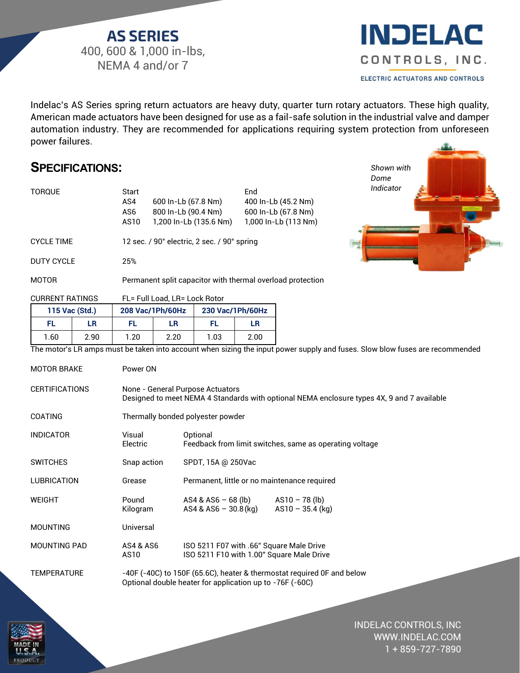**AS SERIES** 400, 600 & 1,000 in-lbs, NEMA 4 and/or 7



*Shown with Dome Indicator* 

Indelac's AS Series spring return actuators are heavy duty, quarter turn rotary actuators. These high quality, American made actuators have been designed for use as a fail-safe solution in the industrial valve and damper automation industry. They are recommended for applications requiring system protection from unforeseen power failures.

## **SPECIFICATIONS:**

| TORQUE                 | Start<br>600 In-Lb (67.8 Nm)<br>AS4<br>800 In-Lb (90.4 Nm)<br>AS6<br>1,200 ln-Lb (135.6 Nm)<br>AS10 | End<br>400 In-Lb (45.2 Nm)<br>600 In-Lb (67.8 Nm)<br>1,000 In-Lb (113 Nm) |  |  |  |
|------------------------|-----------------------------------------------------------------------------------------------------|---------------------------------------------------------------------------|--|--|--|
| <b>CYCLE TIME</b>      | 12 sec. / 90 $^{\circ}$ electric, 2 sec. / 90 $^{\circ}$ spring                                     |                                                                           |  |  |  |
| DUTY CYCLE             | 25%                                                                                                 |                                                                           |  |  |  |
| MOTOR                  | Permanent split capacitor with thermal overload protection                                          |                                                                           |  |  |  |
| <b>CURRENT RATINGS</b> | FL= Full Load. LR= Lock Rotor                                                                       |                                                                           |  |  |  |

|                |      |                  | TE-Tull Loud. LIT-Lour Holdi |                  |      |
|----------------|------|------------------|------------------------------|------------------|------|
| 115 Vac (Std.) |      | 208 Vac/1Ph/60Hz |                              | 230 Vac/1Ph/60Hz |      |
| FL             | LR   | FL.              | LR                           | FL               | LR   |
| ∣.60           | 2.90 | 1.20             | 2.20                         | 1.03             | 2.00 |

The motor's LR amps must be taken into account when sizing the input power supply and fuses. Slow blow fuses are recommended

| <b>MOTOR BRAKE</b>    | Power ON                                                                                                                           |                                                                                       |                    |  |
|-----------------------|------------------------------------------------------------------------------------------------------------------------------------|---------------------------------------------------------------------------------------|--------------------|--|
| <b>CERTIFICATIONS</b> | None - General Purpose Actuators<br>Designed to meet NEMA 4 Standards with optional NEMA enclosure types 4X, 9 and 7 available     |                                                                                       |                    |  |
| <b>COATING</b>        | Thermally bonded polyester powder                                                                                                  |                                                                                       |                    |  |
| <b>INDICATOR</b>      | Visual<br>Electric                                                                                                                 | Optional<br>Feedback from limit switches, same as operating voltage                   |                    |  |
| <b>SWITCHES</b>       | Snap action                                                                                                                        | SPDT, 15A @ 250Vac                                                                    |                    |  |
| <b>LUBRICATION</b>    | Grease                                                                                                                             | Permanent, little or no maintenance required                                          |                    |  |
| <b>WEIGHT</b>         | Pound<br>Kilogram                                                                                                                  | $AS4 & AS6 - 68 (lb)$ $AS10 - 78 (lb)$<br>AS4 & AS6 - 30.8 (kg)                       | $AS10 - 35.4$ (kg) |  |
| <b>MOUNTING</b>       | Universal                                                                                                                          |                                                                                       |                    |  |
| <b>MOUNTING PAD</b>   | <b>AS4 &amp; AS6</b><br>AS10                                                                                                       | ISO 5211 F07 with .66" Square Male Drive<br>ISO 5211 F10 with 1.00" Square Male Drive |                    |  |
| <b>TEMPERATURE</b>    | -40F (-40C) to 150F (65.6C), heater & thermostat required 0F and below<br>Optional double heater for application up to -76F (-60C) |                                                                                       |                    |  |
|                       |                                                                                                                                    |                                                                                       |                    |  |

INDELAC CONTROLS, INC WWW.INDELAC.COM 1 + 859-727-7890